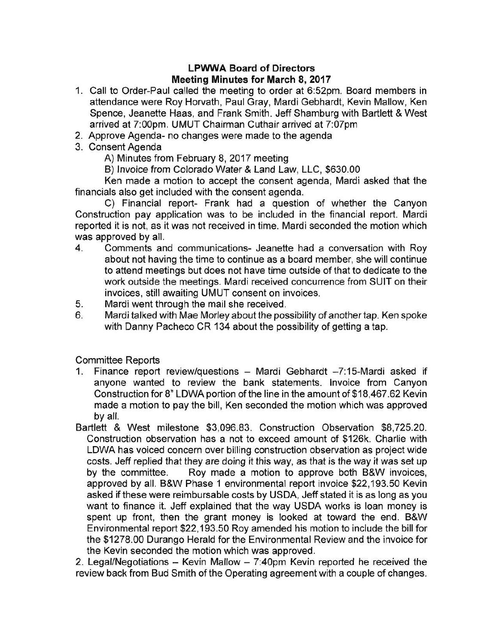## **LPWWA Board of Directors Meeting Minutes for March 8, 2017**

- 1. Call to Order-Paul called the meeting to order at 6:52pm. Board members in attendance were Roy Horvath, Paul Gray, Mardi Gebhardt, Kevin Mallow, Ken Spence, Jeanette Haas, and Frank Smith. Jeff Shamburg with Bartlett & West arrived at 7:00pm. UMUT Chairman Cuthair arrived at 7:07pm
- 2. Approve Agenda- no changes were made to the agenda
- 3. Consent Agenda

A) Minutes from February 8, 2017 meeting

B) Invoice from Colorado Water & Land Law, LLC, \$630.00

Ken made a motion to accept the consent agenda, Mardi asked that the financials also get included with the consent agenda.

C) Financial report- Frank had a question of whether the Canyon Construction pay application was to be included in the financial report. Mardi reported it is not, as it was not received in time. Mardi seconded the motion which was approved by all.

- 4. Comments and communications- Jeanette had a conversation with Roy about not having the time to continue as a board member, she will continue to attend meetings but does not have time outside of that to dedicate to the work outside the meetings. Mardi received concurrence from SUIT on their invoices, still awaiting UMUT consent on invoices.
- 5. Mardi went through the mail she received.
- 6. Mardi talked with Mae Morley about the possibility of another tap. Ken spoke with Danny Pacheco CR 134 about the possibility of getting a tap.

Committee Reports

- 1. Finance report review/questions Mardi Gebhardt -7:15-Mardi asked if anyone wanted to review the bank statements. Invoice from Canyon Construction for 8" LDWA portion of the line in the amount of \$18,467.62 Kevin made a motion to pay the bill, Ken seconded the motion which was approved by all.
- Bartlett & West milestone \$3,096.83. Construction Observation \$8,725.20. Construction observation has a not to exceed amount of \$126k. Charlie with LDWA has voiced concern over billing construction observation as project wide costs. Jeff replied that they are doing it this way, as that is the way it was set up by the committee. Roy made a motion to approve both B&W invoices, approved by all. B&W Phase 1 environmental report invoice \$22,193.50 Kevin asked if these were reimbursable costs by USDA, Jeff stated it is as long as you want to finance it. Jeff explained that the way USDA works is loan money is spent up front, then the grant money is looked at toward the end. B&W Environmental report \$22,193.50 Roy amended his motion to include the bill for the \$1278.00 Durango Herald for the Environmental Review and the invoice for the Kevin seconded the motion which was approved.

2. Legal/Negotiations - Kevin Mallow - 7:40pm Kevin reported he received the review back from Bud Smith of the Operating agreement with a couple of changes.